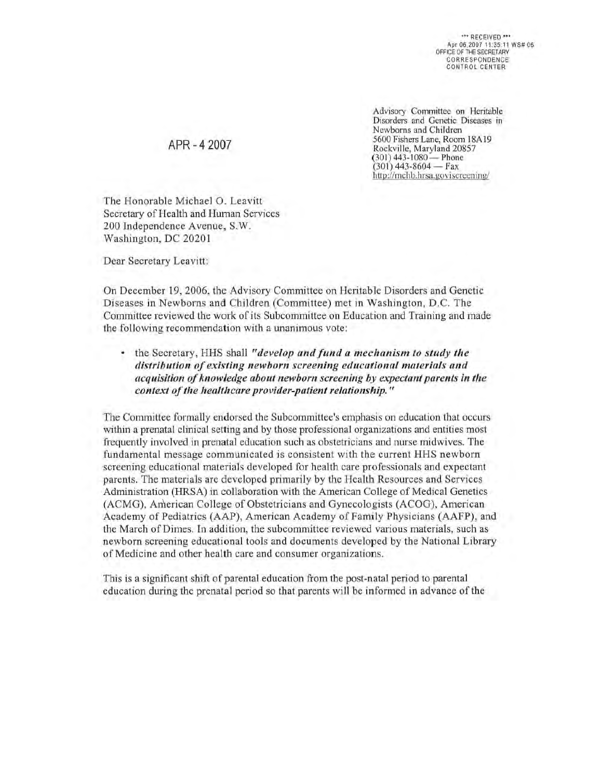\*\*\* RECEIVED \*\*\* Apr 06,2007 11:35:11 WS# 06 OFFICE OF THE SECRETARY **CORRESPONDENCE** CONTROL CENTER

Advisory Committee on Heritable Disorders and Genetic Diseases in Newborns and Children 5600 Fishers Lane, Room l8A 19 Rockville, Maryland 20857  $(301)$  443-1080 - Phone  $(301)$  443-8604 - Fax http://mchb.hrsa.goviscreening/

The Honorable Michael O. Leavitt Secretary of Health and Human Services 200 Independence Avenue, S. W. Washington, DC 2020 I

APR - 4 2007

Dear Secretary Leavitt:

On December 19, 2006, the Advisory Committee on Heritable Disorders and Genetic Dise ases in Newborns and Children (Committee) met in Washington, D.C. The Committee reviewed the work of its Subcommittee on Education and Training and made the following recommendation with a unanimous vote:

the Secretary, HHS shall "develop and fund a mechanism to study the distribution of existing newborn screening educational materials and *acquisition of knowledge about newborn screening by expectant parents in the context of the healthcare provider-patient relationship."* 

The Committee formally endorsed the Subcommittee's emphasis on education that occurs within a prenatal clinical setting and by those professional organizations and entities most frequently involved in prenatal education such as obstetricians and nurse midwives. The fundamental message communicated is consistent with the current HHS newborn screening educational materials developed for health care professionals and expectant parents. The materials are developed primarily by the Health Resources and Services Administration (HRSA) in collaboration with the American College of Medical Genetics (ACMG), American College of Obstetricians and Gynecologists (ACOG), American Academy of Pcdiatrics (AAP), American Academy of Family Physicians (AAFP), and the March of Dimes. In addition, the subcommittee reviewed various materials, such as newborn screening educational tools and documents developed by the National Library of Medicine and other health care and consumer organizations.

This is a significant shift of parental education from the post-natal period to parental education during the prenatal period so that parents will be informed in advance of the